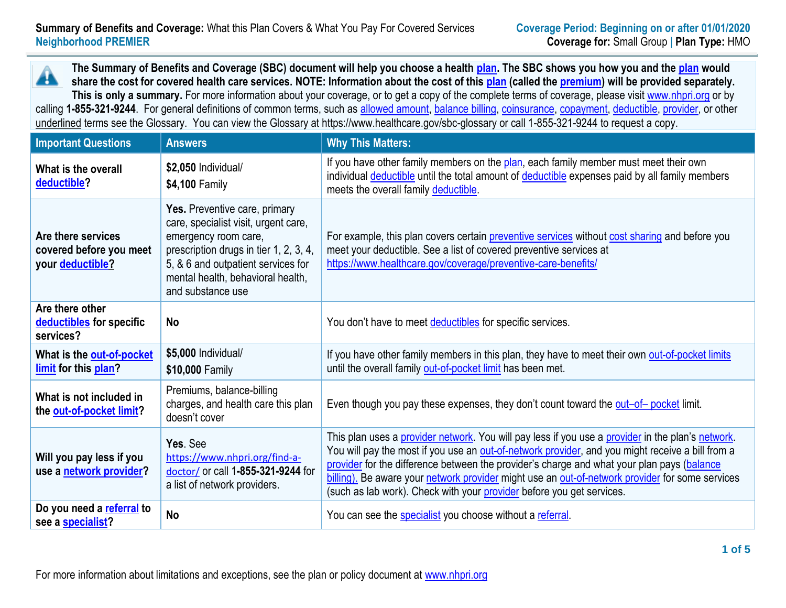**The Summary of Benefits and Coverage (SBC) document will help you choose a health [plan.](https://www.healthcare.gov/sbc-glossary) The SBC shows you how you and th[e plan](https://www.healthcare.gov/sbc-glossary) would** Â **share the cost for covered health care services. NOTE: Information about the cost of this [plan](https://www.healthcare.gov/sbc-glossary) (called the [premium\)](https://www.healthcare.gov/sbc-glossary) will be provided separately.** This is only a summary. For more information about your coverage, or to get a copy of the complete terms of coverage, please visit [www.nhpri.org](http://www.nhpri.org/) or by calling **1-855-321-9244**. For general definitions of common terms, such as [allowed amount, balance billing, coinsurance, copayment, deductible, provider,](https://www.healthcare.gov/sbc-glossary) or other

underlined terms see the Glossary. You can view the Glossary at https://www.healthcare.gov/sbc-glossary or call 1-855-321-9244 to request a copy.

| <b>Important Questions</b>                                               | <b>Answers</b>                                                                                                                                                                                                                          | <b>Why This Matters:</b>                                                                                                                                                                                                                                                                                                                                                                                                                                                        |  |  |
|--------------------------------------------------------------------------|-----------------------------------------------------------------------------------------------------------------------------------------------------------------------------------------------------------------------------------------|---------------------------------------------------------------------------------------------------------------------------------------------------------------------------------------------------------------------------------------------------------------------------------------------------------------------------------------------------------------------------------------------------------------------------------------------------------------------------------|--|--|
| What is the overall<br>deductible?                                       | \$2,050 Individual/<br>\$4,100 Family                                                                                                                                                                                                   | If you have other family members on the plan, each family member must meet their own<br>individual deductible until the total amount of deductible expenses paid by all family members<br>meets the overall family deductible.                                                                                                                                                                                                                                                  |  |  |
| Are there services<br>covered before you meet<br>your <b>deductible?</b> | Yes. Preventive care, primary<br>care, specialist visit, urgent care,<br>emergency room care,<br>prescription drugs in tier 1, 2, 3, 4,<br>5, & 6 and outpatient services for<br>mental health, behavioral health,<br>and substance use | For example, this plan covers certain preventive services without cost sharing and before you<br>meet your deductible. See a list of covered preventive services at<br>https://www.healthcare.gov/coverage/preventive-care-benefits/                                                                                                                                                                                                                                            |  |  |
| Are there other<br>deductibles for specific<br>services?                 | <b>No</b>                                                                                                                                                                                                                               | You don't have to meet deductibles for specific services.                                                                                                                                                                                                                                                                                                                                                                                                                       |  |  |
| What is the out-of-pocket<br>limit for this plan?                        | \$5,000 Individual/<br>\$10,000 Family                                                                                                                                                                                                  | If you have other family members in this plan, they have to meet their own out-of-pocket limits<br>until the overall family out-of-pocket limit has been met.                                                                                                                                                                                                                                                                                                                   |  |  |
| What is not included in<br>the out-of-pocket limit?                      | Premiums, balance-billing<br>charges, and health care this plan<br>doesn't cover                                                                                                                                                        | Even though you pay these expenses, they don't count toward the out-of-pocket limit.                                                                                                                                                                                                                                                                                                                                                                                            |  |  |
| Will you pay less if you<br>use a network provider?                      | Yes. See<br>https://www.nhpri.org/find-a-<br>doctor/ or call 1-855-321-9244 for<br>a list of network providers.                                                                                                                         | This plan uses a provider network. You will pay less if you use a provider in the plan's network.<br>You will pay the most if you use an out-of-network provider, and you might receive a bill from a<br>provider for the difference between the provider's charge and what your plan pays (balance<br>billing). Be aware your network provider might use an out-of-network provider for some services<br>(such as lab work). Check with your provider before you get services. |  |  |
| Do you need a referral to<br>see a specialist?                           | <b>No</b>                                                                                                                                                                                                                               | You can see the specialist you choose without a referral.                                                                                                                                                                                                                                                                                                                                                                                                                       |  |  |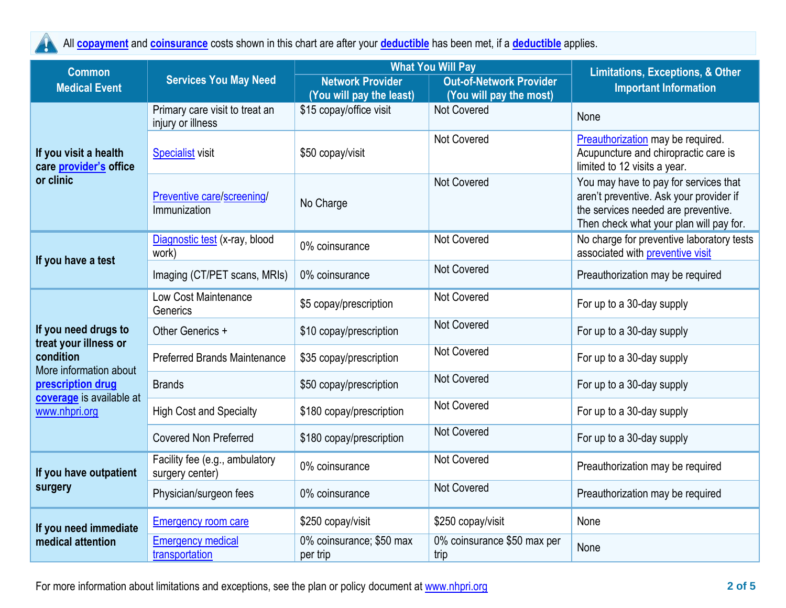

All **[copayment](https://www.healthcare.gov/sbc-glossary/#copayment)** and **[coinsurance](https://www.healthcare.gov/sbc-glossary/#coinsurance)** costs shown in this chart are after your **[deductible](https://www.healthcare.gov/sbc-glossary/#deductible)** has been met, if a **[deductible](https://www.healthcare.gov/sbc-glossary/#deductible)** applies.

| <b>Common</b>                                                | <b>Services You May Need</b>                        |                                                     | <b>What You Will Pay</b>                                  | <b>Limitations, Exceptions, &amp; Other</b><br><b>Important Information</b>                                                                                        |  |
|--------------------------------------------------------------|-----------------------------------------------------|-----------------------------------------------------|-----------------------------------------------------------|--------------------------------------------------------------------------------------------------------------------------------------------------------------------|--|
| <b>Medical Event</b>                                         |                                                     | <b>Network Provider</b><br>(You will pay the least) | <b>Out-of-Network Provider</b><br>(You will pay the most) |                                                                                                                                                                    |  |
|                                                              | Primary care visit to treat an<br>injury or illness | \$15 copay/office visit                             | Not Covered                                               | None                                                                                                                                                               |  |
| If you visit a health<br>care provider's office<br>or clinic | <b>Specialist visit</b>                             | \$50 copay/visit                                    | <b>Not Covered</b>                                        | Preauthorization may be required.<br>Acupuncture and chiropractic care is<br>limited to 12 visits a year.                                                          |  |
|                                                              | Preventive care/screening/<br>Immunization          | No Charge                                           | <b>Not Covered</b>                                        | You may have to pay for services that<br>aren't preventive. Ask your provider if<br>the services needed are preventive.<br>Then check what your plan will pay for. |  |
| If you have a test                                           | Diagnostic test (x-ray, blood<br>work)              | 0% coinsurance                                      | <b>Not Covered</b>                                        | No charge for preventive laboratory tests<br>associated with preventive visit                                                                                      |  |
|                                                              | Imaging (CT/PET scans, MRIs)                        | 0% coinsurance                                      | <b>Not Covered</b>                                        | Preauthorization may be required                                                                                                                                   |  |
|                                                              | Low Cost Maintenance<br>Generics                    | \$5 copay/prescription                              | Not Covered                                               | For up to a 30-day supply                                                                                                                                          |  |
| If you need drugs to<br>treat your illness or                | Other Generics +                                    | \$10 copay/prescription                             | <b>Not Covered</b>                                        | For up to a 30-day supply                                                                                                                                          |  |
| condition<br>More information about                          | <b>Preferred Brands Maintenance</b>                 | \$35 copay/prescription                             | <b>Not Covered</b>                                        | For up to a 30-day supply                                                                                                                                          |  |
| prescription drug<br>coverage is available at                | <b>Brands</b>                                       | \$50 copay/prescription                             | <b>Not Covered</b>                                        | For up to a 30-day supply                                                                                                                                          |  |
| www.nhpri.org                                                | <b>High Cost and Specialty</b>                      | \$180 copay/prescription                            | <b>Not Covered</b>                                        | For up to a 30-day supply                                                                                                                                          |  |
|                                                              | <b>Covered Non Preferred</b>                        | \$180 copay/prescription                            | <b>Not Covered</b>                                        | For up to a 30-day supply                                                                                                                                          |  |
| If you have outpatient                                       | Facility fee (e.g., ambulatory<br>surgery center)   | 0% coinsurance                                      | Not Covered                                               | Preauthorization may be required                                                                                                                                   |  |
| surgery                                                      | Physician/surgeon fees                              | 0% coinsurance                                      | Not Covered                                               | Preauthorization may be required                                                                                                                                   |  |
| If you need immediate                                        | <b>Emergency room care</b>                          | \$250 copay/visit                                   | \$250 copay/visit                                         | None                                                                                                                                                               |  |
| medical attention                                            | <b>Emergency medical</b><br>transportation          | 0% coinsurance; \$50 max<br>per trip                | 0% coinsurance \$50 max per<br>trip                       | None                                                                                                                                                               |  |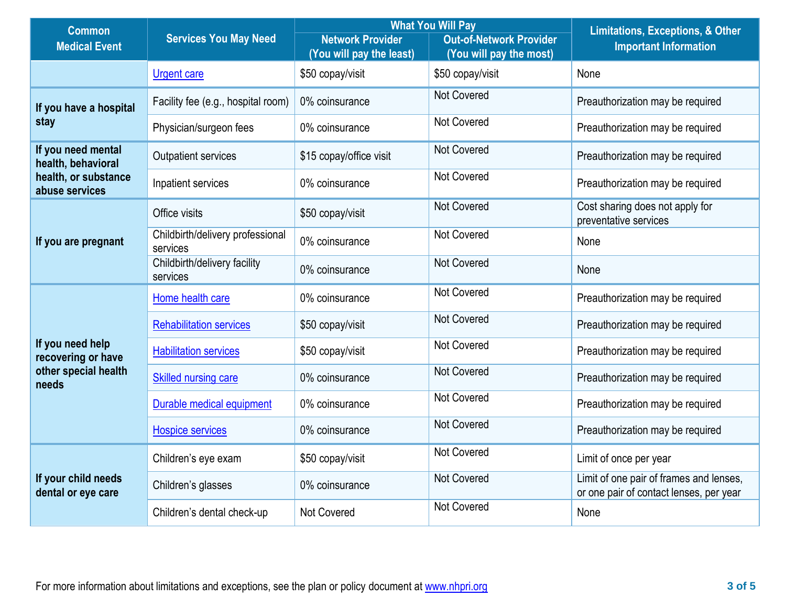| <b>Common</b>                             | <b>Services You May Need</b>                 |                                                     | <b>What You Will Pay</b>                                  | <b>Limitations, Exceptions, &amp; Other</b><br><b>Important Information</b>        |  |
|-------------------------------------------|----------------------------------------------|-----------------------------------------------------|-----------------------------------------------------------|------------------------------------------------------------------------------------|--|
| <b>Medical Event</b>                      |                                              | <b>Network Provider</b><br>(You will pay the least) | <b>Out-of-Network Provider</b><br>(You will pay the most) |                                                                                    |  |
|                                           | <b>Urgent care</b>                           | \$50 copay/visit                                    | \$50 copay/visit                                          | None                                                                               |  |
| If you have a hospital                    | Facility fee (e.g., hospital room)           | 0% coinsurance                                      | Not Covered                                               | Preauthorization may be required                                                   |  |
| stay                                      | Physician/surgeon fees                       | 0% coinsurance                                      | Not Covered                                               | Preauthorization may be required                                                   |  |
| If you need mental<br>health, behavioral  | <b>Outpatient services</b>                   | \$15 copay/office visit                             | <b>Not Covered</b>                                        | Preauthorization may be required                                                   |  |
| health, or substance<br>abuse services    | Inpatient services                           | 0% coinsurance                                      | Not Covered                                               | Preauthorization may be required                                                   |  |
|                                           | Office visits                                | \$50 copay/visit                                    | <b>Not Covered</b>                                        | Cost sharing does not apply for<br>preventative services                           |  |
| If you are pregnant                       | Childbirth/delivery professional<br>services | 0% coinsurance                                      | <b>Not Covered</b>                                        | None                                                                               |  |
|                                           | Childbirth/delivery facility<br>services     | 0% coinsurance                                      | <b>Not Covered</b>                                        | None                                                                               |  |
|                                           | Home health care                             | 0% coinsurance                                      | <b>Not Covered</b>                                        | Preauthorization may be required                                                   |  |
|                                           | <b>Rehabilitation services</b>               | \$50 copay/visit                                    | <b>Not Covered</b>                                        | Preauthorization may be required                                                   |  |
| If you need help<br>recovering or have    | <b>Habilitation services</b>                 | \$50 copay/visit                                    | <b>Not Covered</b>                                        | Preauthorization may be required                                                   |  |
| other special health<br>needs             | <b>Skilled nursing care</b>                  | 0% coinsurance                                      | Not Covered                                               | Preauthorization may be required                                                   |  |
|                                           | Durable medical equipment                    | 0% coinsurance                                      | <b>Not Covered</b>                                        | Preauthorization may be required                                                   |  |
|                                           | <b>Hospice services</b>                      | 0% coinsurance                                      | <b>Not Covered</b>                                        | Preauthorization may be required                                                   |  |
|                                           | Children's eye exam                          | \$50 copay/visit                                    | Not Covered                                               | Limit of once per year                                                             |  |
| If your child needs<br>dental or eye care | Children's glasses                           | 0% coinsurance                                      | <b>Not Covered</b>                                        | Limit of one pair of frames and lenses,<br>or one pair of contact lenses, per year |  |
|                                           | Children's dental check-up                   | <b>Not Covered</b>                                  | <b>Not Covered</b>                                        | None                                                                               |  |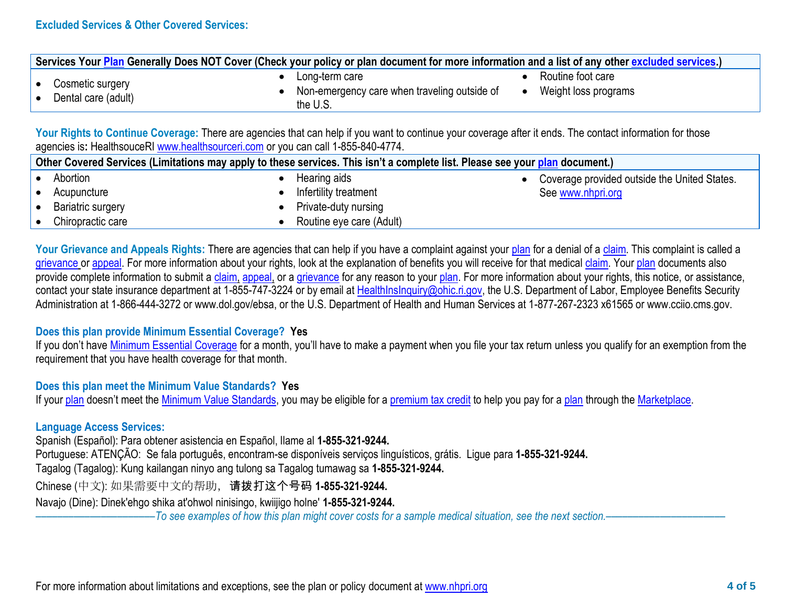| Services Your Plan Generally Does NOT Cover (Check your policy or plan document for more information and a list of any other excluded services.) |                                                                            |                                           |  |  |  |
|--------------------------------------------------------------------------------------------------------------------------------------------------|----------------------------------------------------------------------------|-------------------------------------------|--|--|--|
| Cosmetic surgery<br>Dental care (adult)                                                                                                          | Long-term care<br>Non-emergency care when traveling outside of<br>the U.S. | Routine foot care<br>Weight loss programs |  |  |  |

Your Rights to Continue Coverage: There are agencies that can help if you want to continue your coverage after it ends. The contact information for those agencies is**:** HealthsouceRI [www.healthsourceri.com](http://www.healthsourceri.com/) or you can call 1-855-840-4774.

| Other Covered Services (Limitations may apply to these services. This isn't a complete list. Please see your plan document.) |                   |  |                          |                                              |  |
|------------------------------------------------------------------------------------------------------------------------------|-------------------|--|--------------------------|----------------------------------------------|--|
|                                                                                                                              | Abortion          |  | Hearing aids             | Coverage provided outside the United States. |  |
|                                                                                                                              | Acupuncture       |  | Infertility treatment    | See www.nhpri.org                            |  |
|                                                                                                                              | Bariatric surgery |  | Private-duty nursing     |                                              |  |
|                                                                                                                              | Chiropractic care |  | Routine eye care (Adult) |                                              |  |

Your Grievance and Appeals Rights: There are agencies that can help if you have a complaint against your [plan](https://www.healthcare.gov/sbc-glossary) for a denial of a [claim.](https://www.healthcare.gov/sbc-glossary) This complaint is called a [grievance](https://www.healthcare.gov/sbc-glossary) or [appeal.](https://www.healthcare.gov/sbc-glossary) For more information about your rights, look at the explanation of benefits you will receive for that medical [claim.](https://www.healthcare.gov/sbc-glossary) Your [plan](https://www.healthcare.gov/sbc-glossary) documents also provide complete information to submit a [claim,](https://www.healthcare.gov/sbc-glossary) [appeal,](https://www.healthcare.gov/sbc-glossary) or a [grievance](https://www.healthcare.gov/sbc-glossary) for any reason to your [plan.](https://www.healthcare.gov/sbc-glossary) For more information about your rights, this notice, or assistance, contact your state insurance department at 1-855-747-3224 or by email at [HealthInsInquiry@ohic.ri.gov,](mailto:HealthInsInquiry@ohic.ri.gov) the U.S. Department of Labor, Employee Benefits Security Administration at 1-866-444-3272 or www.dol.gov/ebsa, or the U.S. Department of Health and Human Services at 1-877-267-2323 x61565 or www.cciio.cms.gov.

## **Does this plan provide Minimum Essential Coverage? Yes**

If you don't have [Minimum Essential Coverage](https://www.healthcare.gov/sbc-glossary) for a month, you'll have to make a payment when you file your tax return unless you qualify for an exemption from the requirement that you have health coverage for that month.

## **Does this plan meet the Minimum Value Standards? Yes**

If your [plan](https://www.healthcare.gov/sbc-glossary) doesn't meet the [Minimum Value Standards,](https://www.healthcare.gov/sbc-glossary) you may be eligible for a [premium tax credit](https://www.healthcare.gov/sbc-glossary) to help you pay for a plan through the [Marketplace.](https://www.healthcare.gov/sbc-glossary)

## **Language Access Services:**

Spanish (Español): Para obtener asistencia en Español, llame al **1-855-321-9244.**

Portuguese: ATENÇÃO: Se fala português, encontram-se disponíveis serviços linguísticos, grátis. Ligue para **1-855-321-9244.**

Tagalog (Tagalog): Kung kailangan ninyo ang tulong sa Tagalog tumawag sa **1-855-321-9244.**

Chinese (中文): 如果需要中文的帮助,请拨打这个号码 **1-855-321-9244.**

Navajo (Dine): Dinek'ehgo shika at'ohwol ninisingo, kwiijigo holne' **1-855-321-9244.**

––––––––––––––––––––––*To see examples of how this plan might cover costs for a sample medical situation, see the next section.–––––––––––*–––––––––––